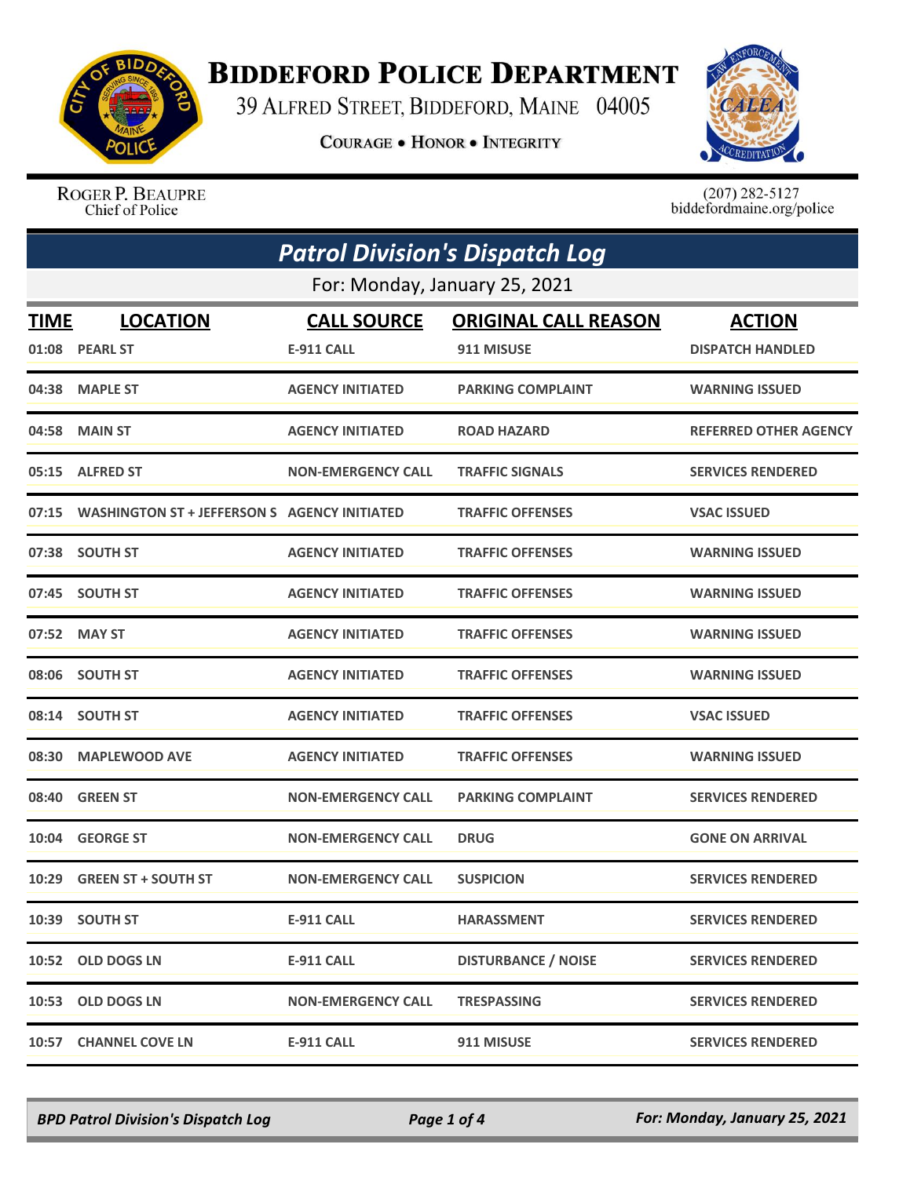

## **BIDDEFORD POLICE DEPARTMENT**

39 ALFRED STREET, BIDDEFORD, MAINE 04005

**COURAGE . HONOR . INTEGRITY** 



ROGER P. BEAUPRE Chief of Police

 $(207)$  282-5127<br>biddefordmaine.org/police

| <b>Patrol Division's Dispatch Log</b> |                                                    |                           |                             |                              |  |  |
|---------------------------------------|----------------------------------------------------|---------------------------|-----------------------------|------------------------------|--|--|
|                                       | For: Monday, January 25, 2021                      |                           |                             |                              |  |  |
| <b>TIME</b>                           | <b>LOCATION</b>                                    | <b>CALL SOURCE</b>        | <b>ORIGINAL CALL REASON</b> | <b>ACTION</b>                |  |  |
|                                       | 01:08 PEARL ST                                     | <b>E-911 CALL</b>         | 911 MISUSE                  | <b>DISPATCH HANDLED</b>      |  |  |
|                                       | 04:38 MAPLE ST                                     | <b>AGENCY INITIATED</b>   | <b>PARKING COMPLAINT</b>    | <b>WARNING ISSUED</b>        |  |  |
|                                       | 04:58 MAIN ST                                      | <b>AGENCY INITIATED</b>   | <b>ROAD HAZARD</b>          | <b>REFERRED OTHER AGENCY</b> |  |  |
|                                       | 05:15 ALFRED ST                                    | <b>NON-EMERGENCY CALL</b> | <b>TRAFFIC SIGNALS</b>      | <b>SERVICES RENDERED</b>     |  |  |
|                                       | 07:15 WASHINGTON ST + JEFFERSON S AGENCY INITIATED |                           | <b>TRAFFIC OFFENSES</b>     | <b>VSAC ISSUED</b>           |  |  |
|                                       | 07:38 SOUTH ST                                     | <b>AGENCY INITIATED</b>   | <b>TRAFFIC OFFENSES</b>     | <b>WARNING ISSUED</b>        |  |  |
|                                       | 07:45 SOUTH ST                                     | <b>AGENCY INITIATED</b>   | <b>TRAFFIC OFFENSES</b>     | <b>WARNING ISSUED</b>        |  |  |
|                                       | 07:52 MAY ST                                       | <b>AGENCY INITIATED</b>   | <b>TRAFFIC OFFENSES</b>     | <b>WARNING ISSUED</b>        |  |  |
|                                       | 08:06 SOUTH ST                                     | <b>AGENCY INITIATED</b>   | <b>TRAFFIC OFFENSES</b>     | <b>WARNING ISSUED</b>        |  |  |
|                                       | 08:14 SOUTH ST                                     | <b>AGENCY INITIATED</b>   | <b>TRAFFIC OFFENSES</b>     | <b>VSAC ISSUED</b>           |  |  |
|                                       | 08:30 MAPLEWOOD AVE                                | <b>AGENCY INITIATED</b>   | <b>TRAFFIC OFFENSES</b>     | <b>WARNING ISSUED</b>        |  |  |
| 08:40                                 | <b>GREEN ST</b>                                    | <b>NON-EMERGENCY CALL</b> | <b>PARKING COMPLAINT</b>    | <b>SERVICES RENDERED</b>     |  |  |
| 10:04                                 | <b>GEORGE ST</b>                                   | <b>NON-EMERGENCY CALL</b> | <b>DRUG</b>                 | <b>GONE ON ARRIVAL</b>       |  |  |
| 10:29                                 | <b>GREEN ST + SOUTH ST</b>                         | <b>NON-EMERGENCY CALL</b> | <b>SUSPICION</b>            | <b>SERVICES RENDERED</b>     |  |  |
|                                       | 10:39 SOUTH ST                                     | <b>E-911 CALL</b>         | <b>HARASSMENT</b>           | <b>SERVICES RENDERED</b>     |  |  |
|                                       | 10:52 OLD DOGS LN                                  | <b>E-911 CALL</b>         | <b>DISTURBANCE / NOISE</b>  | <b>SERVICES RENDERED</b>     |  |  |
|                                       | 10:53 OLD DOGS LN                                  | <b>NON-EMERGENCY CALL</b> | <b>TRESPASSING</b>          | <b>SERVICES RENDERED</b>     |  |  |
| 10:57                                 | <b>CHANNEL COVE LN</b>                             | E-911 CALL                | 911 MISUSE                  | <b>SERVICES RENDERED</b>     |  |  |

*BPD Patrol Division's Dispatch Log Page 1 of 4 For: Monday, January 25, 2021*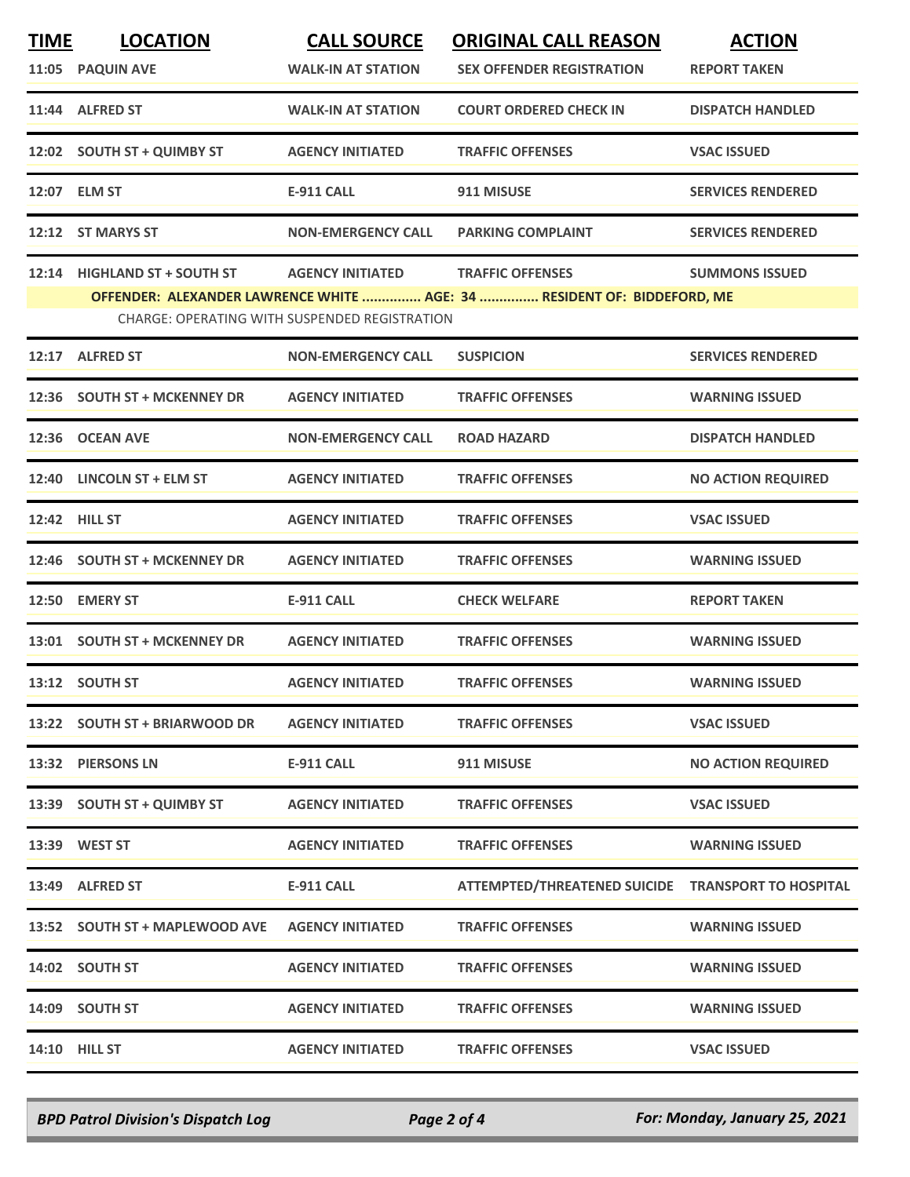| <b>TIME</b> | <b>LOCATION</b>                                                                                                                 | <b>CALL SOURCE</b>        | <b>ORIGINAL CALL REASON</b>                        | <b>ACTION</b>             |  |  |
|-------------|---------------------------------------------------------------------------------------------------------------------------------|---------------------------|----------------------------------------------------|---------------------------|--|--|
|             | 11:05 PAQUIN AVE                                                                                                                | <b>WALK-IN AT STATION</b> | <b>SEX OFFENDER REGISTRATION</b>                   | <b>REPORT TAKEN</b>       |  |  |
|             | 11:44 ALFRED ST                                                                                                                 | <b>WALK-IN AT STATION</b> | <b>COURT ORDERED CHECK IN</b>                      | <b>DISPATCH HANDLED</b>   |  |  |
|             | 12:02 SOUTH ST + QUIMBY ST                                                                                                      | <b>AGENCY INITIATED</b>   | <b>TRAFFIC OFFENSES</b>                            | <b>VSAC ISSUED</b>        |  |  |
|             | 12:07 ELM ST                                                                                                                    | E-911 CALL                | 911 MISUSE                                         | <b>SERVICES RENDERED</b>  |  |  |
|             | 12:12 ST MARYS ST                                                                                                               | <b>NON-EMERGENCY CALL</b> | <b>PARKING COMPLAINT</b>                           | <b>SERVICES RENDERED</b>  |  |  |
|             | 12:14 HIGHLAND ST + SOUTH ST                                                                                                    | <b>AGENCY INITIATED</b>   | <b>TRAFFIC OFFENSES</b>                            | <b>SUMMONS ISSUED</b>     |  |  |
|             | OFFENDER: ALEXANDER LAWRENCE WHITE  AGE: 34  RESIDENT OF: BIDDEFORD, ME<br><b>CHARGE: OPERATING WITH SUSPENDED REGISTRATION</b> |                           |                                                    |                           |  |  |
|             | 12:17 ALFRED ST                                                                                                                 | <b>NON-EMERGENCY CALL</b> | <b>SUSPICION</b>                                   | <b>SERVICES RENDERED</b>  |  |  |
|             | 12:36 SOUTH ST + MCKENNEY DR                                                                                                    | <b>AGENCY INITIATED</b>   | <b>TRAFFIC OFFENSES</b>                            | <b>WARNING ISSUED</b>     |  |  |
| 12:36       | <b>OCEAN AVE</b>                                                                                                                | <b>NON-EMERGENCY CALL</b> | <b>ROAD HAZARD</b>                                 | <b>DISPATCH HANDLED</b>   |  |  |
|             | 12:40 LINCOLN ST + ELM ST                                                                                                       | <b>AGENCY INITIATED</b>   | <b>TRAFFIC OFFENSES</b>                            | <b>NO ACTION REQUIRED</b> |  |  |
|             | <b>12:42 HILL ST</b>                                                                                                            | <b>AGENCY INITIATED</b>   | <b>TRAFFIC OFFENSES</b>                            | <b>VSAC ISSUED</b>        |  |  |
|             | 12:46 SOUTH ST + MCKENNEY DR                                                                                                    | <b>AGENCY INITIATED</b>   | <b>TRAFFIC OFFENSES</b>                            | <b>WARNING ISSUED</b>     |  |  |
| 12:50       | <b>EMERY ST</b>                                                                                                                 | <b>E-911 CALL</b>         | <b>CHECK WELFARE</b>                               | <b>REPORT TAKEN</b>       |  |  |
|             | 13:01 SOUTH ST + MCKENNEY DR                                                                                                    | <b>AGENCY INITIATED</b>   | <b>TRAFFIC OFFENSES</b>                            | <b>WARNING ISSUED</b>     |  |  |
|             | 13:12 SOUTH ST                                                                                                                  | <b>AGENCY INITIATED</b>   | <b>TRAFFIC OFFENSES</b>                            | <b>WARNING ISSUED</b>     |  |  |
|             | 13:22 SOUTH ST + BRIARWOOD DR                                                                                                   | <b>AGENCY INITIATED</b>   | <b>TRAFFIC OFFENSES</b>                            | <b>VSAC ISSUED</b>        |  |  |
|             | 13:32 PIERSONS LN                                                                                                               | <b>E-911 CALL</b>         | 911 MISUSE                                         | <b>NO ACTION REQUIRED</b> |  |  |
|             | 13:39 SOUTH ST + QUIMBY ST                                                                                                      | <b>AGENCY INITIATED</b>   | <b>TRAFFIC OFFENSES</b>                            | <b>VSAC ISSUED</b>        |  |  |
|             | 13:39 WEST ST                                                                                                                   | <b>AGENCY INITIATED</b>   | <b>TRAFFIC OFFENSES</b>                            | <b>WARNING ISSUED</b>     |  |  |
|             | 13:49 ALFRED ST                                                                                                                 | <b>E-911 CALL</b>         | ATTEMPTED/THREATENED SUICIDE TRANSPORT TO HOSPITAL |                           |  |  |
|             | 13:52 SOUTH ST + MAPLEWOOD AVE                                                                                                  | <b>AGENCY INITIATED</b>   | <b>TRAFFIC OFFENSES</b>                            | <b>WARNING ISSUED</b>     |  |  |
|             | 14:02 SOUTH ST                                                                                                                  | <b>AGENCY INITIATED</b>   | <b>TRAFFIC OFFENSES</b>                            | <b>WARNING ISSUED</b>     |  |  |
|             | 14:09 SOUTH ST                                                                                                                  | <b>AGENCY INITIATED</b>   | <b>TRAFFIC OFFENSES</b>                            | <b>WARNING ISSUED</b>     |  |  |
|             | <b>14:10 HILL ST</b>                                                                                                            | <b>AGENCY INITIATED</b>   | <b>TRAFFIC OFFENSES</b>                            | <b>VSAC ISSUED</b>        |  |  |

*BPD Patrol Division's Dispatch Log Page 2 of 4 For: Monday, January 25, 2021*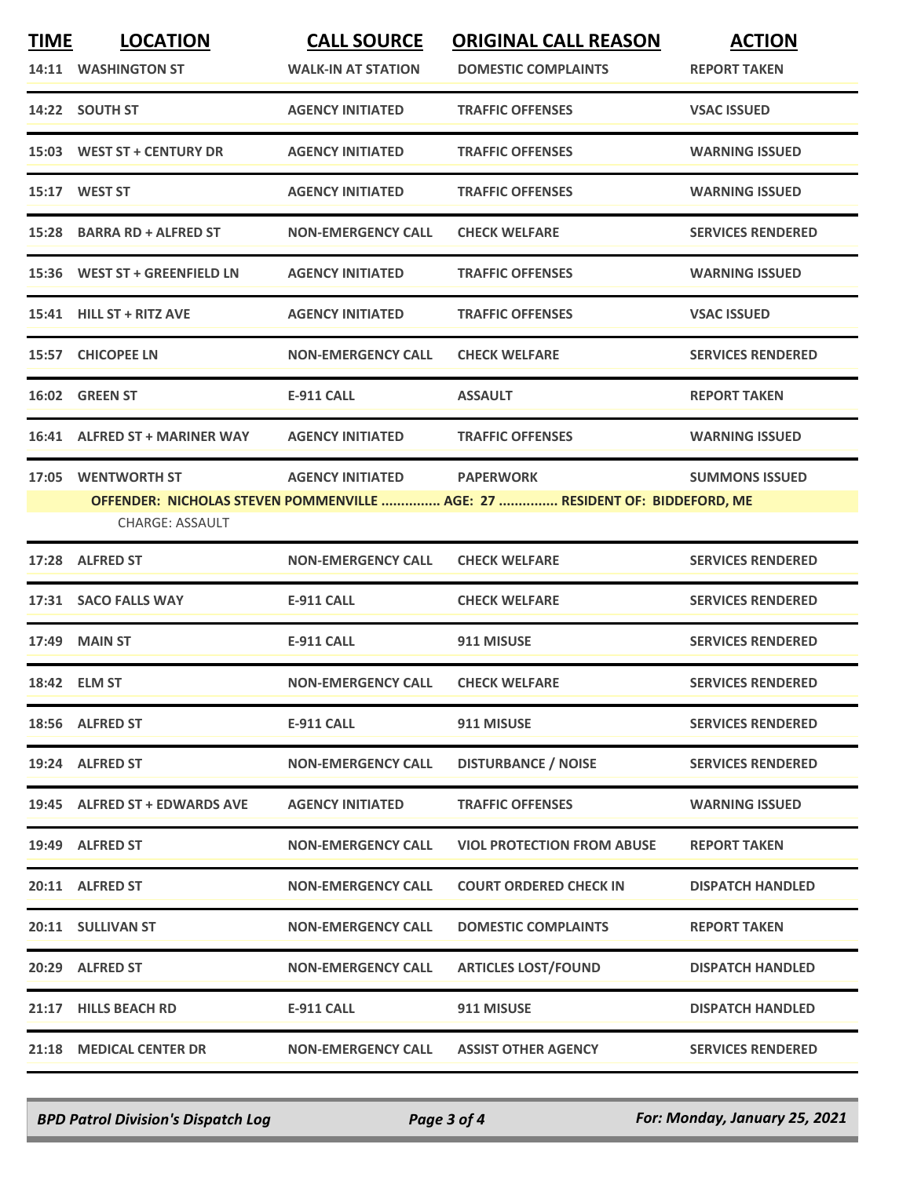| <b>TIME</b> | <b>LOCATION</b><br>14:11 WASHINGTON ST       | <b>CALL SOURCE</b><br><b>WALK-IN AT STATION</b> | <b>ORIGINAL CALL REASON</b><br><b>DOMESTIC COMPLAINTS</b>                                      | <b>ACTION</b><br><b>REPORT TAKEN</b> |
|-------------|----------------------------------------------|-------------------------------------------------|------------------------------------------------------------------------------------------------|--------------------------------------|
|             | 14:22 SOUTH ST                               | <b>AGENCY INITIATED</b>                         | <b>TRAFFIC OFFENSES</b>                                                                        | <b>VSAC ISSUED</b>                   |
|             | 15:03 WEST ST + CENTURY DR                   | <b>AGENCY INITIATED</b>                         | <b>TRAFFIC OFFENSES</b>                                                                        | <b>WARNING ISSUED</b>                |
|             | 15:17 WEST ST                                | <b>AGENCY INITIATED</b>                         | <b>TRAFFIC OFFENSES</b>                                                                        | <b>WARNING ISSUED</b>                |
|             | 15:28 BARRA RD + ALFRED ST                   | <b>NON-EMERGENCY CALL</b>                       | <b>CHECK WELFARE</b>                                                                           | <b>SERVICES RENDERED</b>             |
|             | 15:36 WEST ST + GREENFIELD LN                | <b>AGENCY INITIATED</b>                         | <b>TRAFFIC OFFENSES</b>                                                                        | <b>WARNING ISSUED</b>                |
| 15:41       | <b>HILL ST + RITZ AVE</b>                    | <b>AGENCY INITIATED</b>                         | <b>TRAFFIC OFFENSES</b>                                                                        | <b>VSAC ISSUED</b>                   |
|             | 15:57 CHICOPEE LN                            | <b>NON-EMERGENCY CALL</b>                       | <b>CHECK WELFARE</b>                                                                           | <b>SERVICES RENDERED</b>             |
|             | 16:02 GREEN ST                               | <b>E-911 CALL</b>                               | <b>ASSAULT</b>                                                                                 | <b>REPORT TAKEN</b>                  |
|             | 16:41 ALFRED ST + MARINER WAY                | <b>AGENCY INITIATED</b>                         | <b>TRAFFIC OFFENSES</b>                                                                        | <b>WARNING ISSUED</b>                |
|             | 17:05 WENTWORTH ST<br><b>CHARGE: ASSAULT</b> | <b>AGENCY INITIATED</b>                         | <b>PAPERWORK</b><br>OFFENDER: NICHOLAS STEVEN POMMENVILLE  AGE: 27  RESIDENT OF: BIDDEFORD, ME | <b>SUMMONS ISSUED</b>                |
|             | 17:28 ALFRED ST                              | <b>NON-EMERGENCY CALL</b>                       | <b>CHECK WELFARE</b>                                                                           | <b>SERVICES RENDERED</b>             |
|             | 17:31 SACO FALLS WAY                         | <b>E-911 CALL</b>                               | <b>CHECK WELFARE</b>                                                                           | <b>SERVICES RENDERED</b>             |
|             | 17:49 MAIN ST                                | E-911 CALL                                      | 911 MISUSE                                                                                     | <b>SERVICES RENDERED</b>             |
|             | 18:42 ELM ST                                 | <b>NON-EMERGENCY CALL</b>                       | <b>CHECK WELFARE</b>                                                                           | <b>SERVICES RENDERED</b>             |
|             | 18:56 ALFRED ST                              | <b>E-911 CALL</b>                               | 911 MISUSE                                                                                     | <b>SERVICES RENDERED</b>             |
|             | 19:24 ALFRED ST                              | <b>NON-EMERGENCY CALL</b>                       | <b>DISTURBANCE / NOISE</b>                                                                     | <b>SERVICES RENDERED</b>             |
|             | 19:45 ALFRED ST + EDWARDS AVE                | <b>AGENCY INITIATED</b>                         | <b>TRAFFIC OFFENSES</b>                                                                        | <b>WARNING ISSUED</b>                |
|             | 19:49 ALFRED ST                              | <b>NON-EMERGENCY CALL</b>                       | <b>VIOL PROTECTION FROM ABUSE</b>                                                              | <b>REPORT TAKEN</b>                  |
|             | 20:11 ALFRED ST                              | <b>NON-EMERGENCY CALL</b>                       | <b>COURT ORDERED CHECK IN</b>                                                                  | <b>DISPATCH HANDLED</b>              |
|             | 20:11 SULLIVAN ST                            | <b>NON-EMERGENCY CALL</b>                       | <b>DOMESTIC COMPLAINTS</b>                                                                     | <b>REPORT TAKEN</b>                  |
|             | 20:29 ALFRED ST                              | <b>NON-EMERGENCY CALL</b>                       | <b>ARTICLES LOST/FOUND</b>                                                                     | <b>DISPATCH HANDLED</b>              |
|             | 21:17 HILLS BEACH RD                         | <b>E-911 CALL</b>                               | 911 MISUSE                                                                                     | <b>DISPATCH HANDLED</b>              |
|             | 21:18 MEDICAL CENTER DR                      | <b>NON-EMERGENCY CALL</b>                       | <b>ASSIST OTHER AGENCY</b>                                                                     | <b>SERVICES RENDERED</b>             |

*BPD Patrol Division's Dispatch Log Page 3 of 4 For: Monday, January 25, 2021*